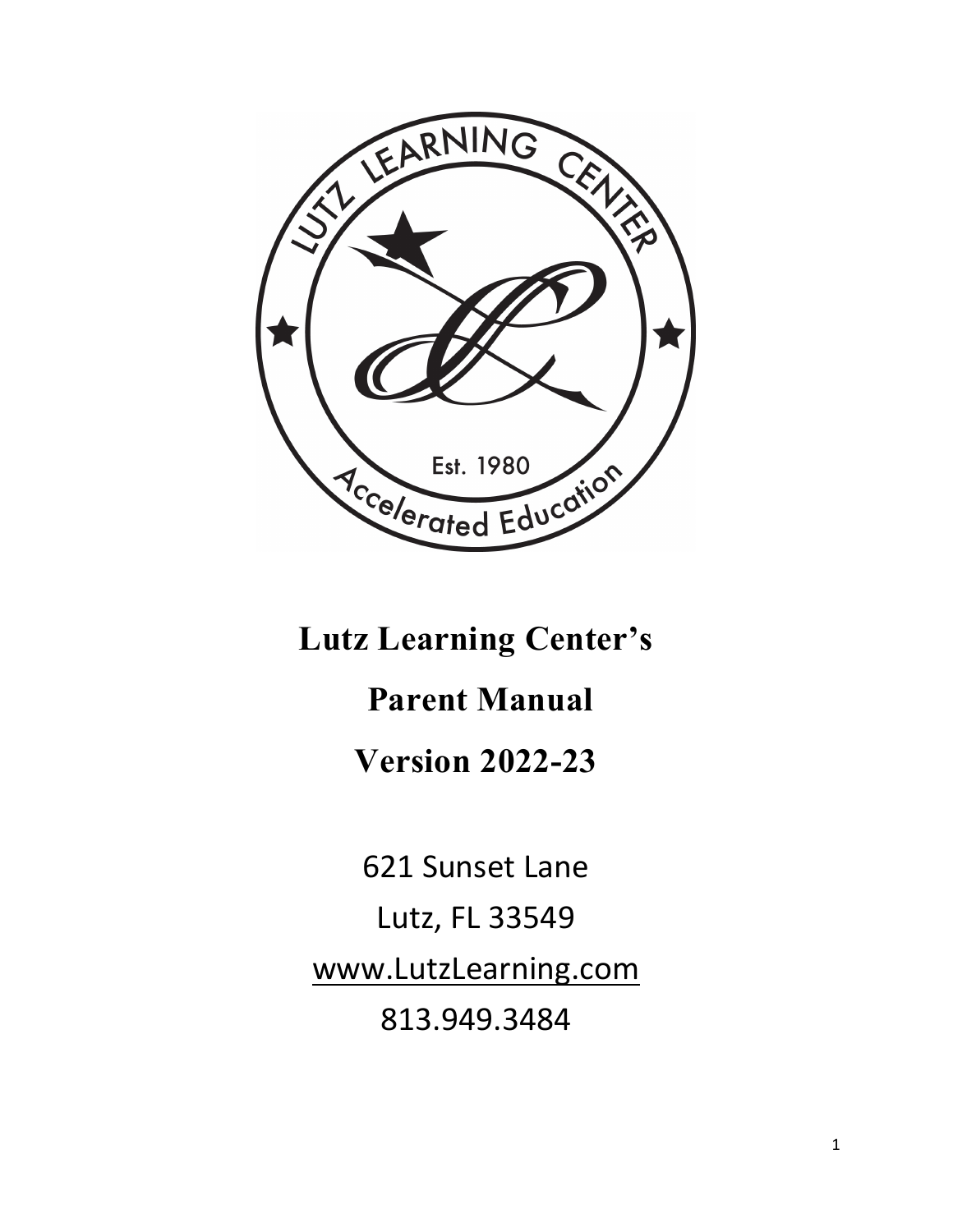

**Lutz Learning Center's** 

# **Parent Manual**

**Version 2022-23**

621 Sunset Lane Lutz, FL 33549 [www.LutzLearning.com](http://www.lutzlearning.com/) 813.949.3484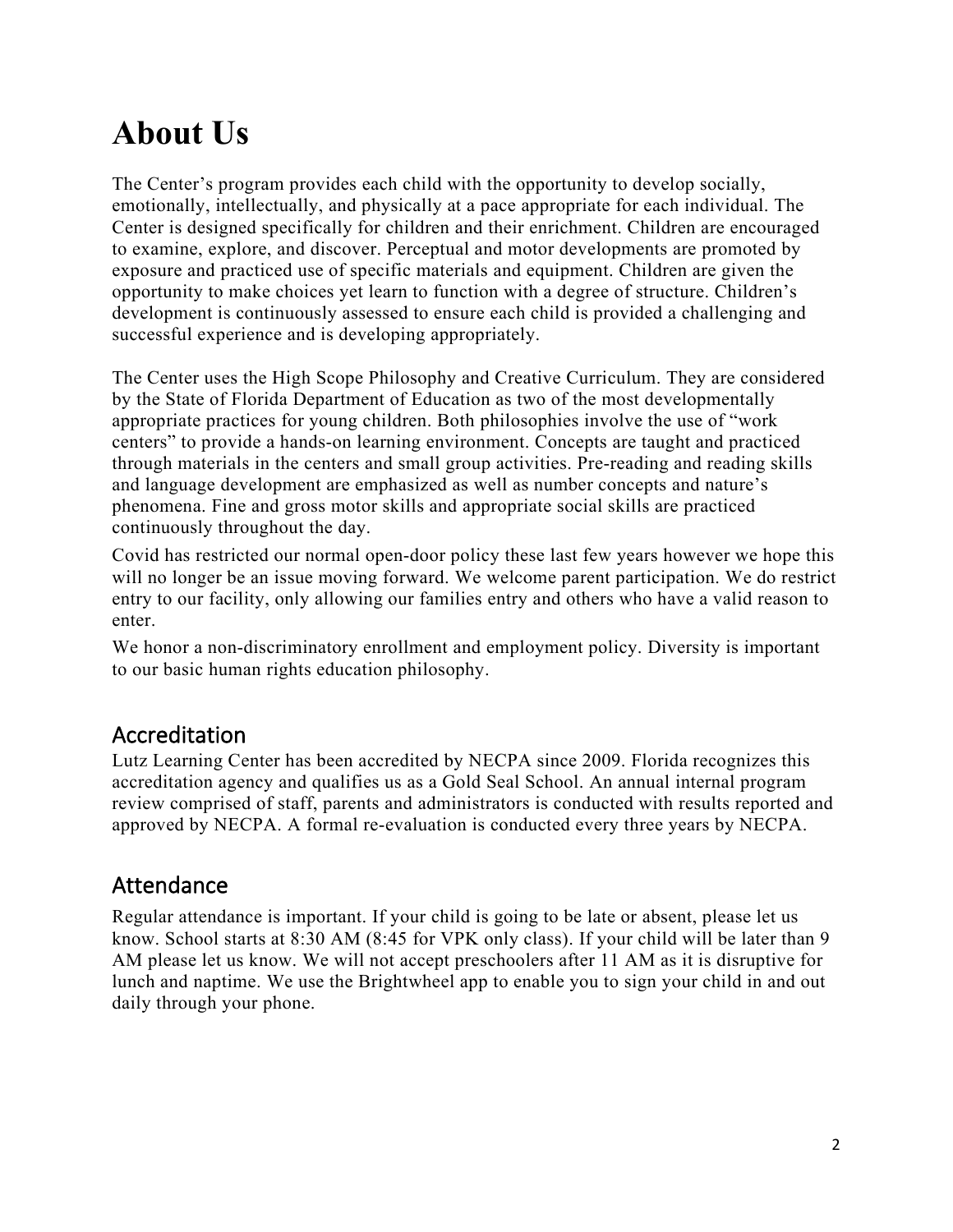# **About Us**

The Center's program provides each child with the opportunity to develop socially, emotionally, intellectually, and physically at a pace appropriate for each individual. The Center is designed specifically for children and their enrichment. Children are encouraged to examine, explore, and discover. Perceptual and motor developments are promoted by exposure and practiced use of specific materials and equipment. Children are given the opportunity to make choices yet learn to function with a degree of structure. Children's development is continuously assessed to ensure each child is provided a challenging and successful experience and is developing appropriately.

The Center uses the High Scope Philosophy and Creative Curriculum. They are considered by the State of Florida Department of Education as two of the most developmentally appropriate practices for young children. Both philosophies involve the use of "work centers" to provide a hands-on learning environment. Concepts are taught and practiced through materials in the centers and small group activities. Pre-reading and reading skills and language development are emphasized as well as number concepts and nature's phenomena. Fine and gross motor skills and appropriate social skills are practiced continuously throughout the day.

Covid has restricted our normal open-door policy these last few years however we hope this will no longer be an issue moving forward. We welcome parent participation. We do restrict entry to our facility, only allowing our families entry and others who have a valid reason to enter.

We honor a non-discriminatory enrollment and employment policy. Diversity is important to our basic human rights education philosophy.

### Accreditation

Lutz Learning Center has been accredited by NECPA since 2009. Florida recognizes this accreditation agency and qualifies us as a Gold Seal School. An annual internal program review comprised of staff, parents and administrators is conducted with results reported and approved by NECPA. A formal re-evaluation is conducted every three years by NECPA.

### Attendance

Regular attendance is important. If your child is going to be late or absent, please let us know. School starts at 8:30 AM (8:45 for VPK only class). If your child will be later than 9 AM please let us know. We will not accept preschoolers after 11 AM as it is disruptive for lunch and naptime. We use the Brightwheel app to enable you to sign your child in and out daily through your phone.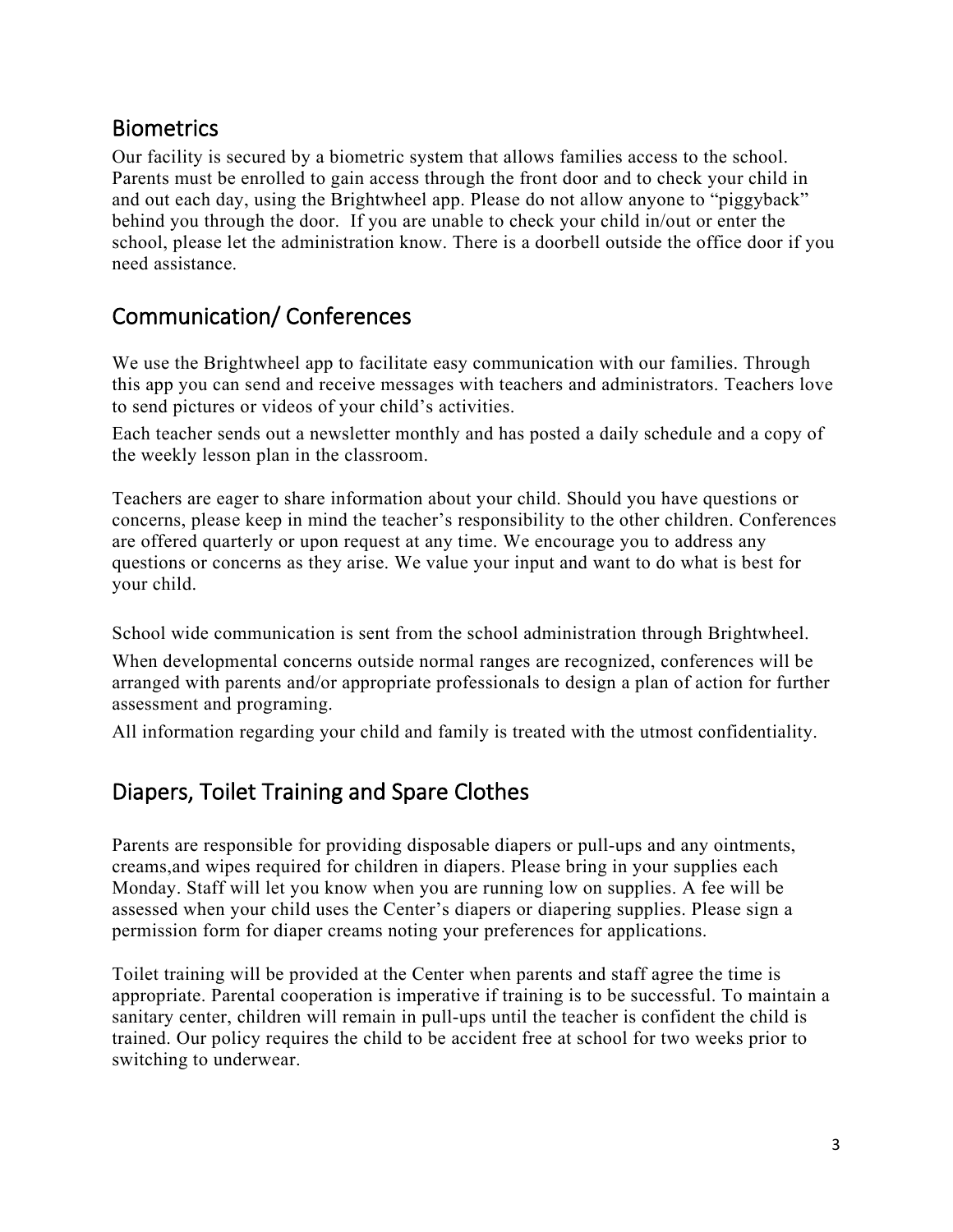### **Biometrics**

Our facility is secured by a biometric system that allows families access to the school. Parents must be enrolled to gain access through the front door and to check your child in and out each day, using the Brightwheel app. Please do not allow anyone to "piggyback" behind you through the door. If you are unable to check your child in/out or enter the school, please let the administration know. There is a doorbell outside the office door if you need assistance.

### Communication/ Conferences

We use the Brightwheel app to facilitate easy communication with our families. Through this app you can send and receive messages with teachers and administrators. Teachers love to send pictures or videos of your child's activities.

Each teacher sends out a newsletter monthly and has posted a daily schedule and a copy of the weekly lesson plan in the classroom.

Teachers are eager to share information about your child. Should you have questions or concerns, please keep in mind the teacher's responsibility to the other children. Conferences are offered quarterly or upon request at any time. We encourage you to address any questions or concerns as they arise. We value your input and want to do what is best for your child.

School wide communication is sent from the school administration through Brightwheel.

When developmental concerns outside normal ranges are recognized, conferences will be arranged with parents and/or appropriate professionals to design a plan of action for further assessment and programing.

All information regarding your child and family is treated with the utmost confidentiality.

### Diapers, Toilet Training and Spare Clothes

Parents are responsible for providing disposable diapers or pull-ups and any ointments, creams,and wipes required for children in diapers. Please bring in your supplies each Monday. Staff will let you know when you are running low on supplies. A fee will be assessed when your child uses the Center's diapers or diapering supplies. Please sign a permission form for diaper creams noting your preferences for applications.

Toilet training will be provided at the Center when parents and staff agree the time is appropriate. Parental cooperation is imperative if training is to be successful. To maintain a sanitary center, children will remain in pull-ups until the teacher is confident the child is trained. Our policy requires the child to be accident free at school for two weeks prior to switching to underwear.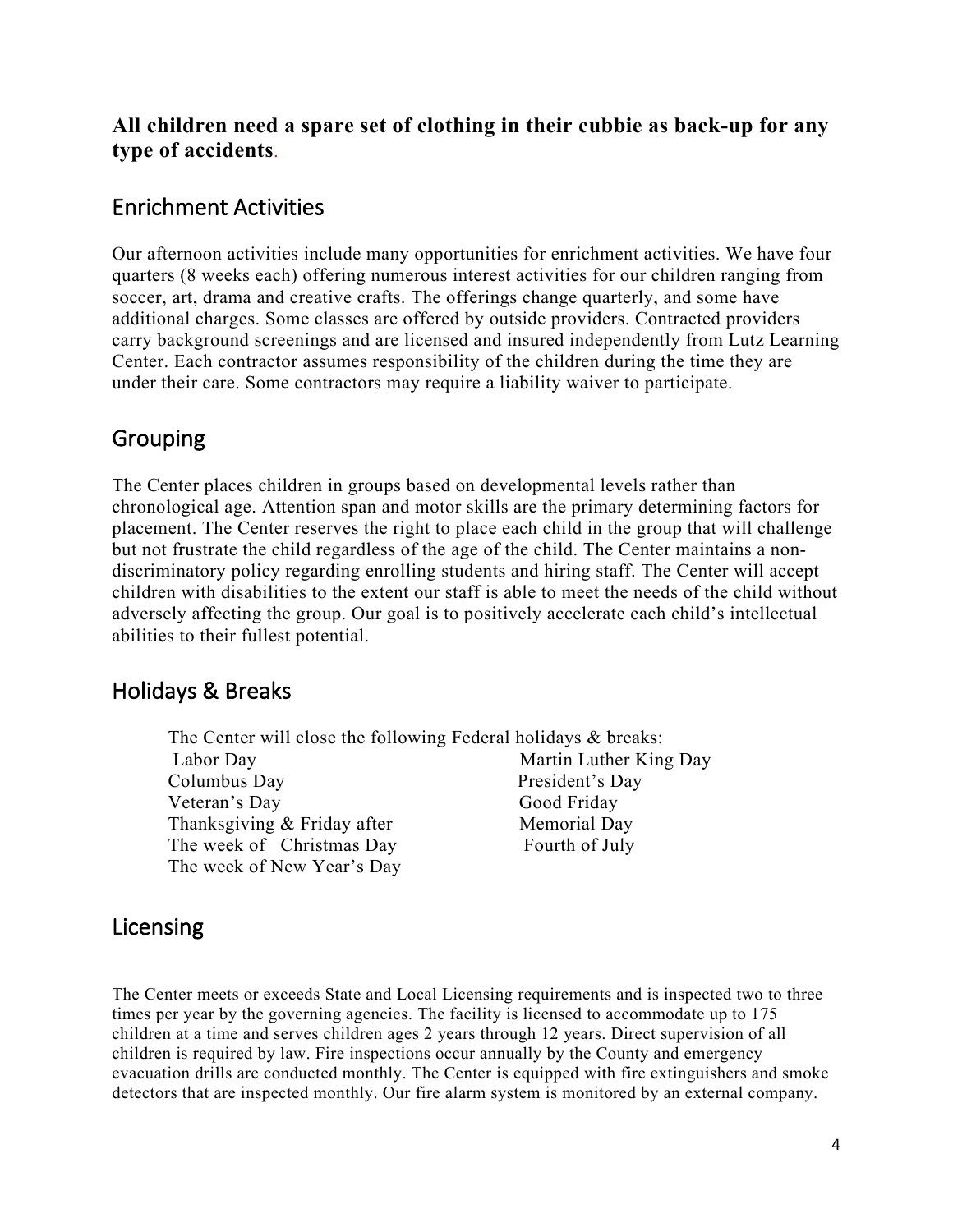#### **All children need a spare set of clothing in their cubbie as back-up for any type of accidents**.

#### Enrichment Activities

Our afternoon activities include many opportunities for enrichment activities. We have four quarters (8 weeks each) offering numerous interest activities for our children ranging from soccer, art, drama and creative crafts. The offerings change quarterly, and some have additional charges. Some classes are offered by outside providers. Contracted providers carry background screenings and are licensed and insured independently from Lutz Learning Center. Each contractor assumes responsibility of the children during the time they are under their care. Some contractors may require a liability waiver to participate.

### Grouping

The Center places children in groups based on developmental levels rather than chronological age. Attention span and motor skills are the primary determining factors for placement. The Center reserves the right to place each child in the group that will challenge but not frustrate the child regardless of the age of the child. The Center maintains a nondiscriminatory policy regarding enrolling students and hiring staff. The Center will accept children with disabilities to the extent our staff is able to meet the needs of the child without adversely affecting the group. Our goal is to positively accelerate each child's intellectual abilities to their fullest potential.

#### Holidays & Breaks

The Center will close the following Federal holidays & breaks: Labor Day Martin Luther King Day Columbus Day President's Day Veteran's Day Good Friday Thanksgiving & Friday after Memorial Day The week of Christmas Day Fourth of July The week of New Year's Day

#### Licensing

The Center meets or exceeds State and Local Licensing requirements and is inspected two to three times per year by the governing agencies. The facility is licensed to accommodate up to 175 children at a time and serves children ages 2 years through 12 years. Direct supervision of all children is required by law. Fire inspections occur annually by the County and emergency evacuation drills are conducted monthly. The Center is equipped with fire extinguishers and smoke detectors that are inspected monthly. Our fire alarm system is monitored by an external company.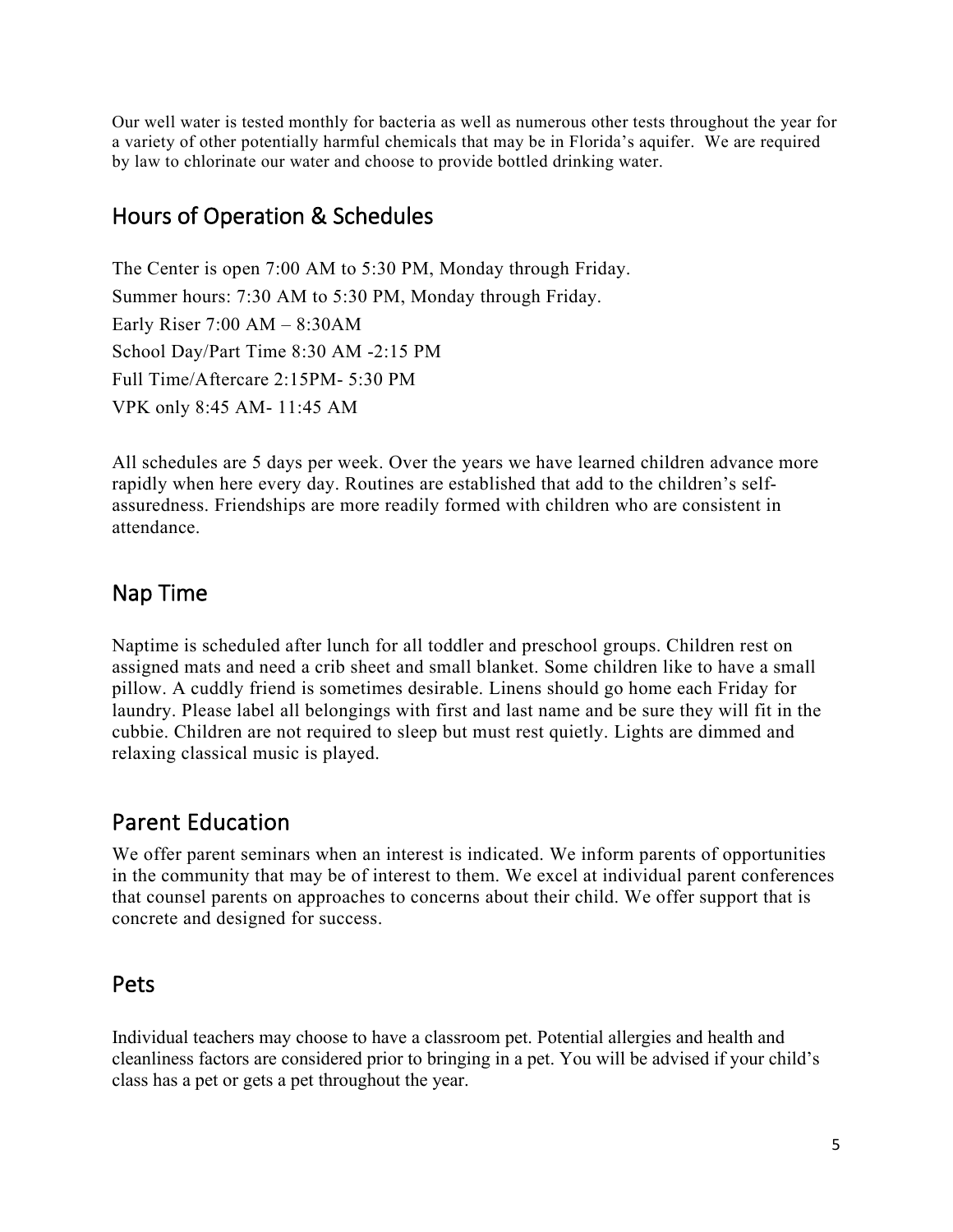Our well water is tested monthly for bacteria as well as numerous other tests throughout the year for a variety of other potentially harmful chemicals that may be in Florida's aquifer. We are required by law to chlorinate our water and choose to provide bottled drinking water.

### Hours of Operation & Schedules

The Center is open 7:00 AM to 5:30 PM, Monday through Friday. Summer hours: 7:30 AM to 5:30 PM, Monday through Friday. Early Riser 7:00 AM – 8:30AM School Day/Part Time 8:30 AM -2:15 PM Full Time/Aftercare 2:15PM- 5:30 PM VPK only 8:45 AM- 11:45 AM

All schedules are 5 days per week. Over the years we have learned children advance more rapidly when here every day. Routines are established that add to the children's selfassuredness. Friendships are more readily formed with children who are consistent in attendance.

### Nap Time

Naptime is scheduled after lunch for all toddler and preschool groups. Children rest on assigned mats and need a crib sheet and small blanket. Some children like to have a small pillow. A cuddly friend is sometimes desirable. Linens should go home each Friday for laundry. Please label all belongings with first and last name and be sure they will fit in the cubbie. Children are not required to sleep but must rest quietly. Lights are dimmed and relaxing classical music is played.

### Parent Education

We offer parent seminars when an interest is indicated. We inform parents of opportunities in the community that may be of interest to them. We excel at individual parent conferences that counsel parents on approaches to concerns about their child. We offer support that is concrete and designed for success.

#### Pets

Individual teachers may choose to have a classroom pet. Potential allergies and health and cleanliness factors are considered prior to bringing in a pet. You will be advised if your child's class has a pet or gets a pet throughout the year.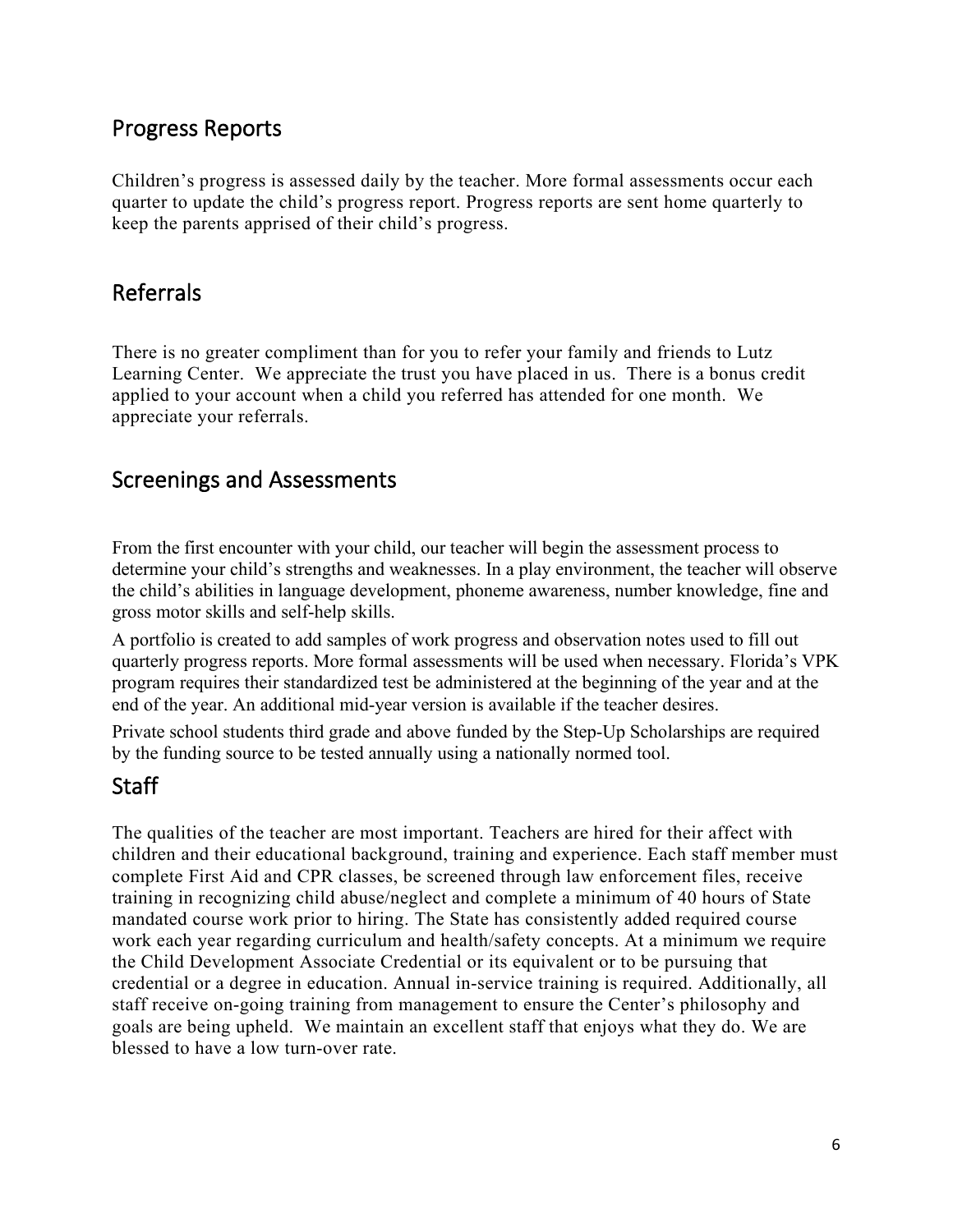### Progress Reports

Children's progress is assessed daily by the teacher. More formal assessments occur each quarter to update the child's progress report. Progress reports are sent home quarterly to keep the parents apprised of their child's progress.

### Referrals

There is no greater compliment than for you to refer your family and friends to Lutz Learning Center. We appreciate the trust you have placed in us. There is a bonus credit applied to your account when a child you referred has attended for one month. We appreciate your referrals.

#### Screenings and Assessments

From the first encounter with your child, our teacher will begin the assessment process to determine your child's strengths and weaknesses. In a play environment, the teacher will observe the child's abilities in language development, phoneme awareness, number knowledge, fine and gross motor skills and self-help skills.

A portfolio is created to add samples of work progress and observation notes used to fill out quarterly progress reports. More formal assessments will be used when necessary. Florida's VPK program requires their standardized test be administered at the beginning of the year and at the end of the year. An additional mid-year version is available if the teacher desires.

Private school students third grade and above funded by the Step-Up Scholarships are required by the funding source to be tested annually using a nationally normed tool.

#### **Staff**

The qualities of the teacher are most important. Teachers are hired for their affect with children and their educational background, training and experience. Each staff member must complete First Aid and CPR classes, be screened through law enforcement files, receive training in recognizing child abuse/neglect and complete a minimum of 40 hours of State mandated course work prior to hiring. The State has consistently added required course work each year regarding curriculum and health/safety concepts. At a minimum we require the Child Development Associate Credential or its equivalent or to be pursuing that credential or a degree in education. Annual in-service training is required. Additionally, all staff receive on-going training from management to ensure the Center's philosophy and goals are being upheld. We maintain an excellent staff that enjoys what they do. We are blessed to have a low turn-over rate.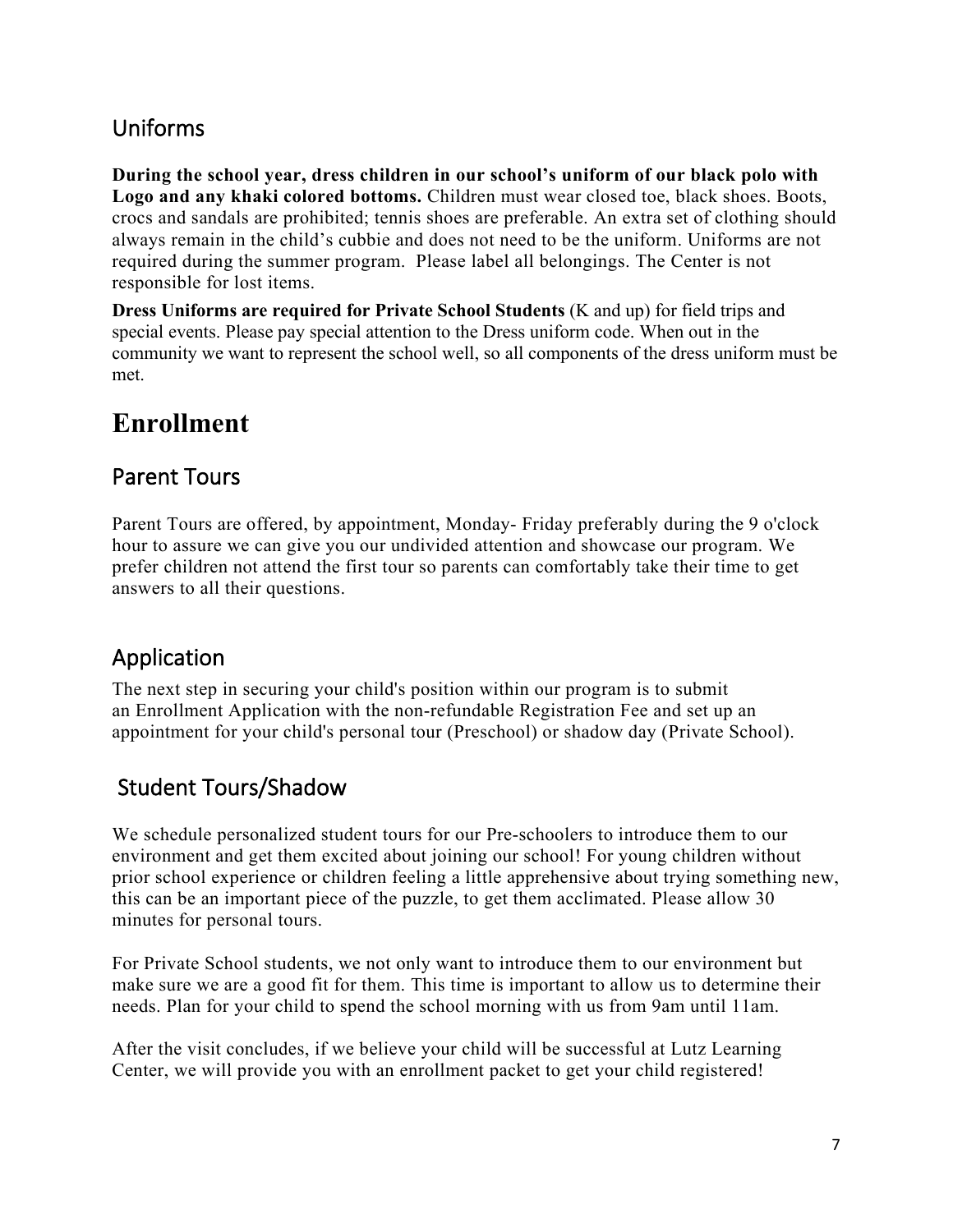### Uniforms

**During the school year, dress children in our school's uniform of our black polo with Logo and any khaki colored bottoms.** Children must wear closed toe, black shoes. Boots, crocs and sandals are prohibited; tennis shoes are preferable. An extra set of clothing should always remain in the child's cubbie and does not need to be the uniform. Uniforms are not required during the summer program. Please label all belongings. The Center is not responsible for lost items.

**Dress Uniforms are required for Private School Students** (K and up) for field trips and special events. Please pay special attention to the Dress uniform code. When out in the community we want to represent the school well, so all components of the dress uniform must be met.

# **Enrollment**

### Parent Tours

Parent Tours are offered, by appointment, Monday- Friday preferably during the 9 o'clock hour to assure we can give you our undivided attention and showcase our program. We prefer children not attend the first tour so parents can comfortably take their time to get answers to all their questions.

### Application

The next step in securing your child's position within our program is to submit an Enrollment Application with the non-refundable Registration Fee and set up an appointment for your child's personal tour (Preschool) or shadow day (Private School).

### Student Tours/Shadow

We schedule personalized student tours for our Pre-schoolers to introduce them to our environment and get them excited about joining our school! For young children without prior school experience or children feeling a little apprehensive about trying something new, this can be an important piece of the puzzle, to get them acclimated. Please allow 30 minutes for personal tours.

For Private School students, we not only want to introduce them to our environment but make sure we are a good fit for them. This time is important to allow us to determine their needs. Plan for your child to spend the school morning with us from 9am until 11am.

After the visit concludes, if we believe your child will be successful at Lutz Learning Center, we will provide you with an enrollment packet to get your child registered!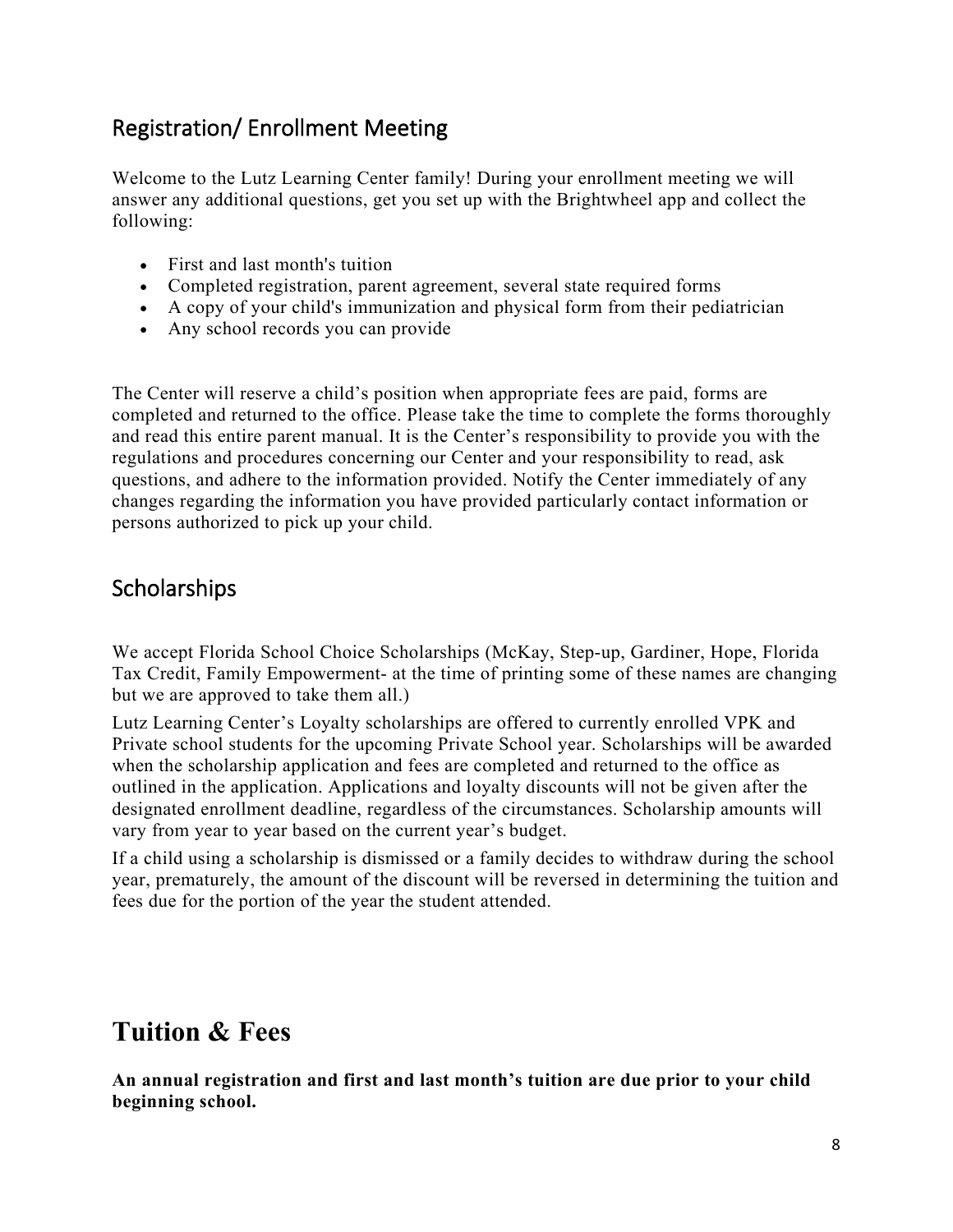### Registration/ Enrollment Meeting

Welcome to the Lutz Learning Center family! During your enrollment meeting we will answer any additional questions, get you set up with the Brightwheel app and collect the following:

- First and last month's tuition
- Completed registration, parent agreement, several state required forms
- A copy of your child's immunization and physical form from their pediatrician
- Any school records you can provide

The Center will reserve a child's position when appropriate fees are paid, forms are completed and returned to the office. Please take the time to complete the forms thoroughly and read this entire parent manual. It is the Center's responsibility to provide you with the regulations and procedures concerning our Center and your responsibility to read, ask questions, and adhere to the information provided. Notify the Center immediately of any changes regarding the information you have provided particularly contact information or persons authorized to pick up your child.

### **Scholarships**

We accept Florida School Choice Scholarships (McKay, Step-up, Gardiner, Hope, Florida Tax Credit, Family Empowerment- at the time of printing some of these names are changing but we are approved to take them all.)

Lutz Learning Center's Loyalty scholarships are offered to currently enrolled VPK and Private school students for the upcoming Private School year. Scholarships will be awarded when the scholarship application and fees are completed and returned to the office as outlined in the application. Applications and loyalty discounts will not be given after the designated enrollment deadline, regardless of the circumstances. Scholarship amounts will vary from year to year based on the current year's budget.

If a child using a scholarship is dismissed or a family decides to withdraw during the school year, prematurely, the amount of the discount will be reversed in determining the tuition and fees due for the portion of the year the student attended.

## **Tuition & Fees**

**An annual registration and first and last month's tuition are due prior to your child beginning school.**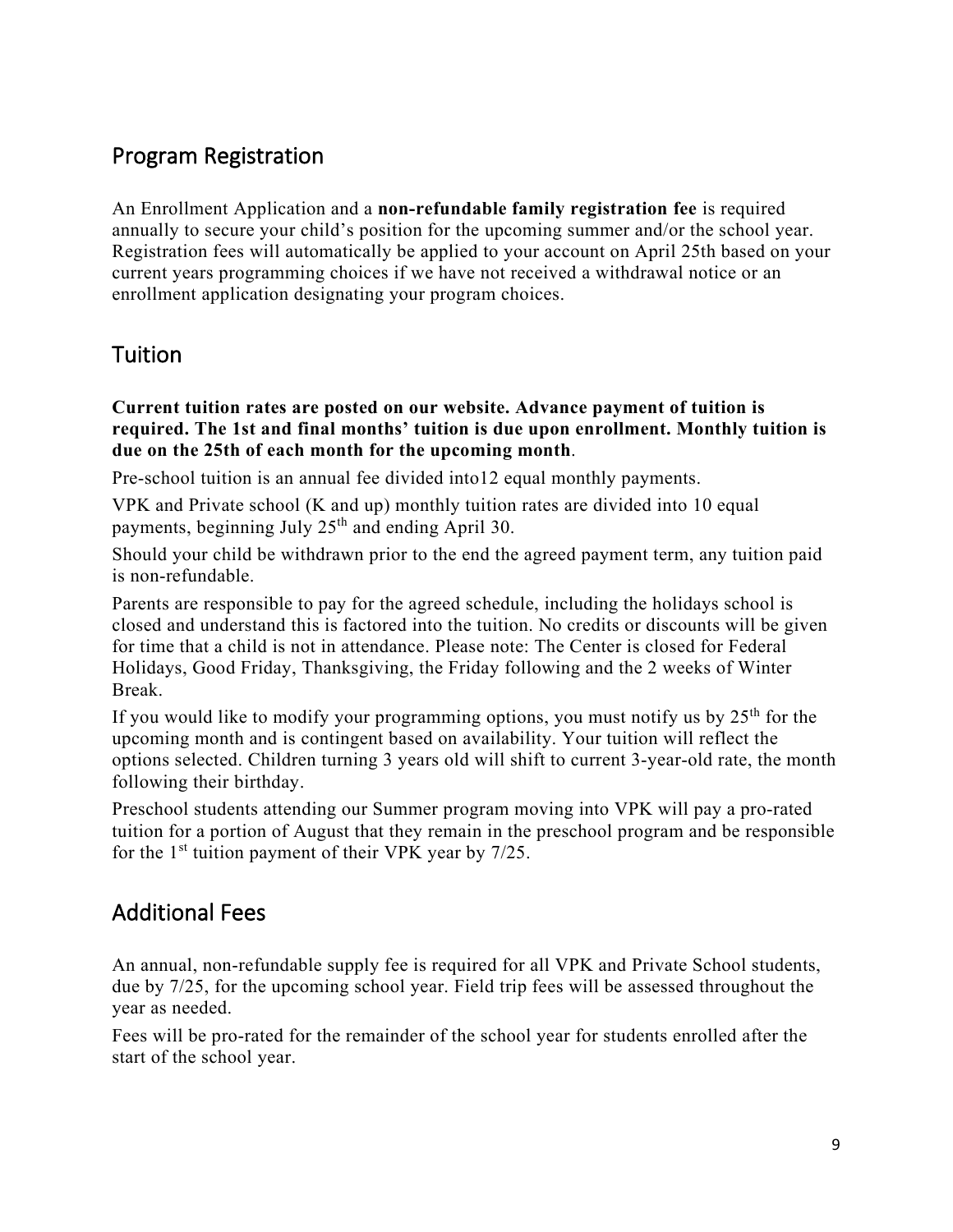### Program Registration

An Enrollment Application and a **non-refundable family registration fee** is required annually to secure your child's position for the upcoming summer and/or the school year. Registration fees will automatically be applied to your account on April 25th based on your current years programming choices if we have not received a withdrawal notice or an enrollment application designating your program choices.

### Tuition

**Current tuition rates are posted on our website. Advance payment of tuition is required. The 1st and final months' tuition is due upon enrollment. Monthly tuition is due on the 25th of each month for the upcoming month**.

Pre-school tuition is an annual fee divided into12 equal monthly payments.

VPK and Private school (K and up) monthly tuition rates are divided into 10 equal payments, beginning July  $25<sup>th</sup>$  and ending April 30.

Should your child be withdrawn prior to the end the agreed payment term, any tuition paid is non-refundable.

Parents are responsible to pay for the agreed schedule, including the holidays school is closed and understand this is factored into the tuition. No credits or discounts will be given for time that a child is not in attendance. Please note: The Center is closed for Federal Holidays, Good Friday, Thanksgiving, the Friday following and the 2 weeks of Winter Break.

If you would like to modify your programming options, you must notify us by  $25<sup>th</sup>$  for the upcoming month and is contingent based on availability. Your tuition will reflect the options selected. Children turning 3 years old will shift to current 3-year-old rate, the month following their birthday.

Preschool students attending our Summer program moving into VPK will pay a pro-rated tuition for a portion of August that they remain in the preschool program and be responsible for the  $1<sup>st</sup>$  tuition payment of their VPK year by 7/25.

### Additional Fees

An annual, non-refundable supply fee is required for all VPK and Private School students, due by 7/25, for the upcoming school year. Field trip fees will be assessed throughout the year as needed.

Fees will be pro-rated for the remainder of the school year for students enrolled after the start of the school year.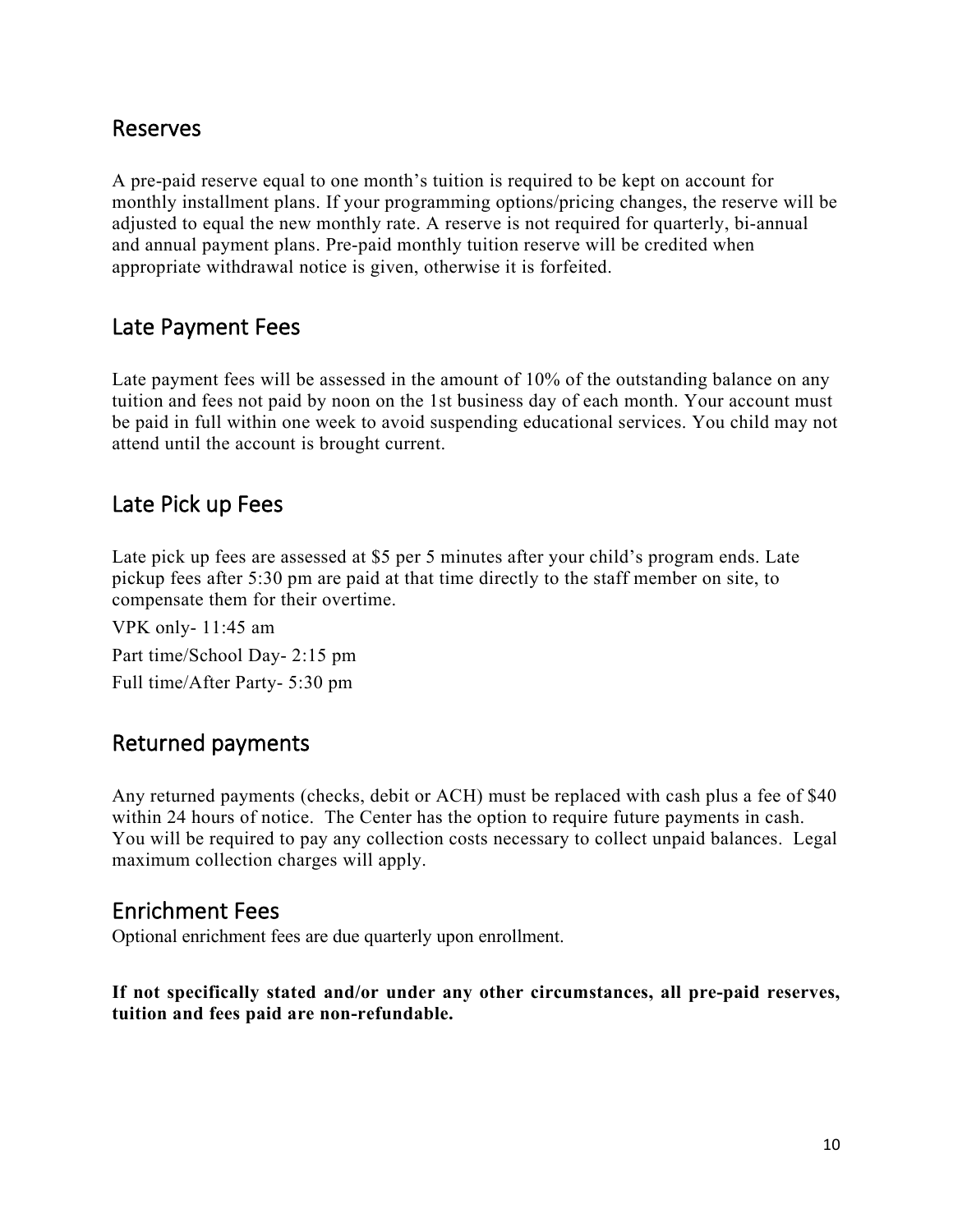#### Reserves

A pre-paid reserve equal to one month's tuition is required to be kept on account for monthly installment plans. If your programming options/pricing changes, the reserve will be adjusted to equal the new monthly rate. A reserve is not required for quarterly, bi-annual and annual payment plans. Pre-paid monthly tuition reserve will be credited when appropriate withdrawal notice is given, otherwise it is forfeited.

#### Late Payment Fees

Late payment fees will be assessed in the amount of 10% of the outstanding balance on any tuition and fees not paid by noon on the 1st business day of each month. Your account must be paid in full within one week to avoid suspending educational services. You child may not attend until the account is brought current.

#### Late Pick up Fees

Late pick up fees are assessed at \$5 per 5 minutes after your child's program ends. Late pickup fees after 5:30 pm are paid at that time directly to the staff member on site, to compensate them for their overtime.

VPK only- 11:45 am Part time/School Day- 2:15 pm Full time/After Party- 5:30 pm

#### Returned payments

Any returned payments (checks, debit or ACH) must be replaced with cash plus a fee of \$40 within 24 hours of notice. The Center has the option to require future payments in cash. You will be required to pay any collection costs necessary to collect unpaid balances. Legal maximum collection charges will apply.

#### Enrichment Fees

Optional enrichment fees are due quarterly upon enrollment.

**If not specifically stated and/or under any other circumstances, all pre-paid reserves, tuition and fees paid are non-refundable.**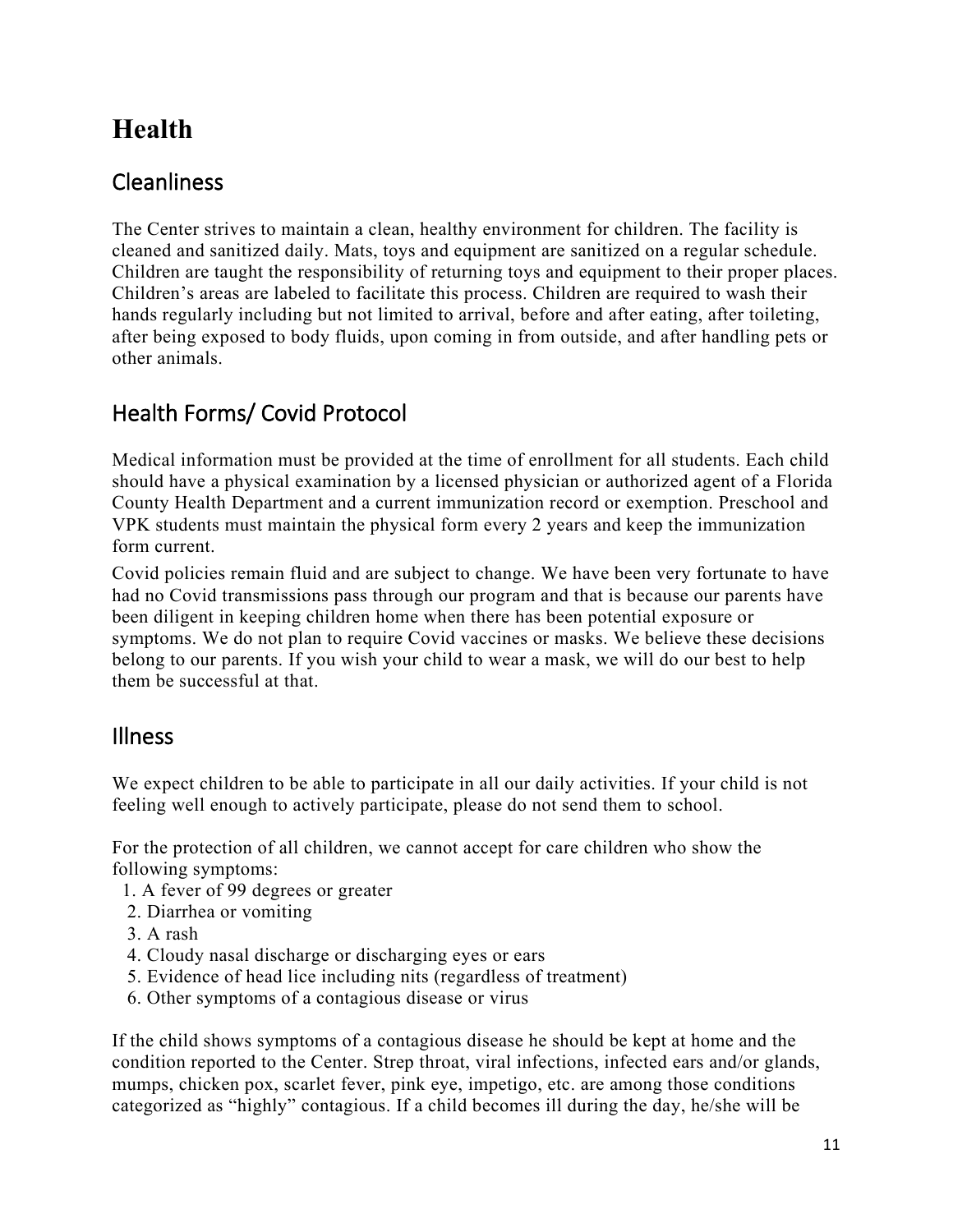# **Health**

### **Cleanliness**

The Center strives to maintain a clean, healthy environment for children. The facility is cleaned and sanitized daily. Mats, toys and equipment are sanitized on a regular schedule. Children are taught the responsibility of returning toys and equipment to their proper places. Children's areas are labeled to facilitate this process. Children are required to wash their hands regularly including but not limited to arrival, before and after eating, after toileting, after being exposed to body fluids, upon coming in from outside, and after handling pets or other animals.

### Health Forms/ Covid Protocol

Medical information must be provided at the time of enrollment for all students. Each child should have a physical examination by a licensed physician or authorized agent of a Florida County Health Department and a current immunization record or exemption. Preschool and VPK students must maintain the physical form every 2 years and keep the immunization form current.

Covid policies remain fluid and are subject to change. We have been very fortunate to have had no Covid transmissions pass through our program and that is because our parents have been diligent in keeping children home when there has been potential exposure or symptoms. We do not plan to require Covid vaccines or masks. We believe these decisions belong to our parents. If you wish your child to wear a mask, we will do our best to help them be successful at that.

#### Illness

We expect children to be able to participate in all our daily activities. If your child is not feeling well enough to actively participate, please do not send them to school.

For the protection of all children, we cannot accept for care children who show the following symptoms:

- 1. A fever of 99 degrees or greater
- 2. Diarrhea or vomiting
- 3. A rash
- 4. Cloudy nasal discharge or discharging eyes or ears
- 5. Evidence of head lice including nits (regardless of treatment)
- 6. Other symptoms of a contagious disease or virus

If the child shows symptoms of a contagious disease he should be kept at home and the condition reported to the Center. Strep throat, viral infections, infected ears and/or glands, mumps, chicken pox, scarlet fever, pink eye, impetigo, etc. are among those conditions categorized as "highly" contagious. If a child becomes ill during the day, he/she will be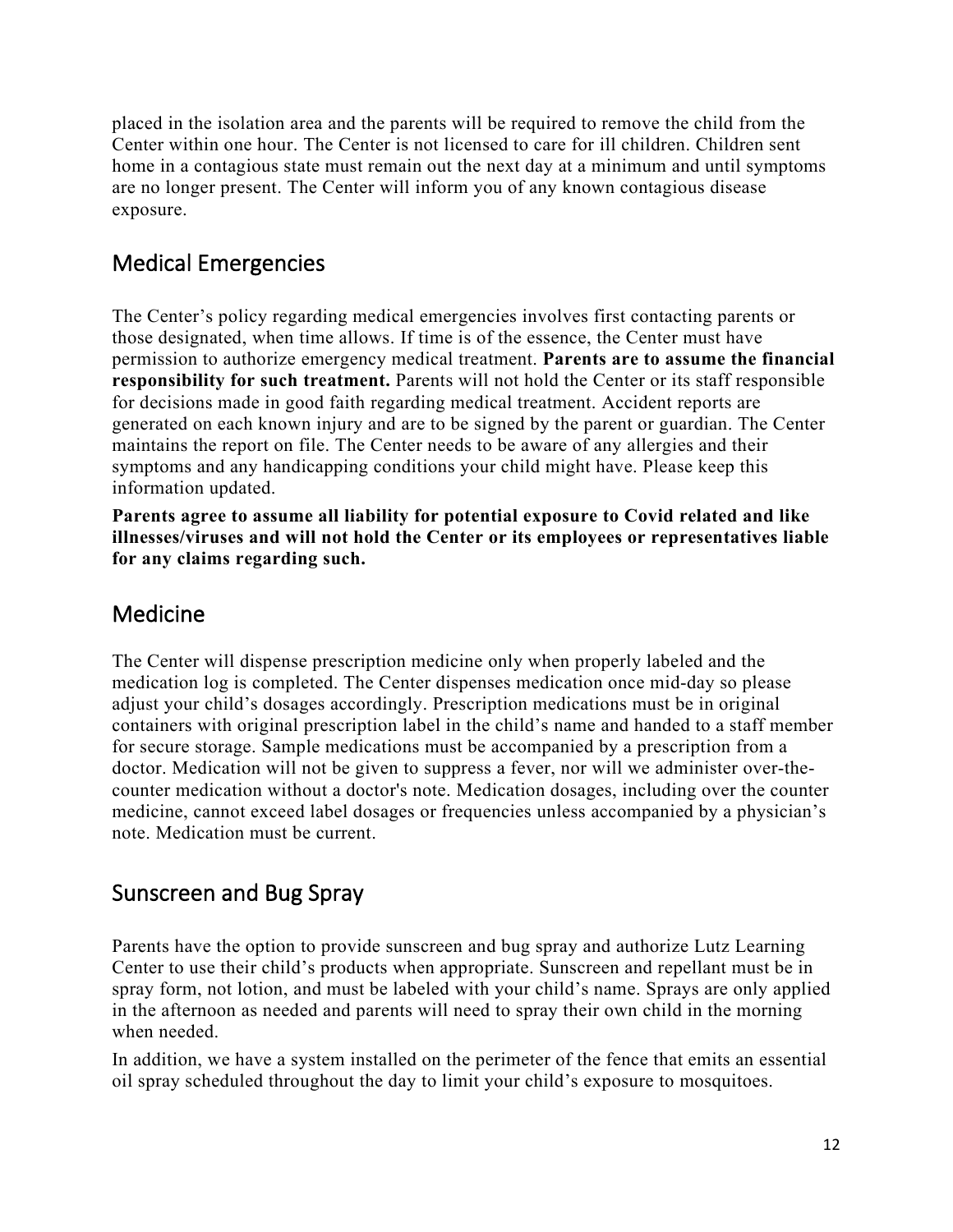placed in the isolation area and the parents will be required to remove the child from the Center within one hour. The Center is not licensed to care for ill children. Children sent home in a contagious state must remain out the next day at a minimum and until symptoms are no longer present. The Center will inform you of any known contagious disease exposure.

### Medical Emergencies

The Center's policy regarding medical emergencies involves first contacting parents or those designated, when time allows. If time is of the essence, the Center must have permission to authorize emergency medical treatment. **Parents are to assume the financial responsibility for such treatment.** Parents will not hold the Center or its staff responsible for decisions made in good faith regarding medical treatment. Accident reports are generated on each known injury and are to be signed by the parent or guardian. The Center maintains the report on file. The Center needs to be aware of any allergies and their symptoms and any handicapping conditions your child might have. Please keep this information updated.

**Parents agree to assume all liability for potential exposure to Covid related and like illnesses/viruses and will not hold the Center or its employees or representatives liable for any claims regarding such.**

### Medicine

The Center will dispense prescription medicine only when properly labeled and the medication log is completed. The Center dispenses medication once mid-day so please adjust your child's dosages accordingly. Prescription medications must be in original containers with original prescription label in the child's name and handed to a staff member for secure storage. Sample medications must be accompanied by a prescription from a doctor. Medication will not be given to suppress a fever, nor will we administer over-thecounter medication without a doctor's note. Medication dosages, including over the counter medicine, cannot exceed label dosages or frequencies unless accompanied by a physician's note. Medication must be current.

### Sunscreen and Bug Spray

Parents have the option to provide sunscreen and bug spray and authorize Lutz Learning Center to use their child's products when appropriate. Sunscreen and repellant must be in spray form, not lotion, and must be labeled with your child's name. Sprays are only applied in the afternoon as needed and parents will need to spray their own child in the morning when needed.

In addition, we have a system installed on the perimeter of the fence that emits an essential oil spray scheduled throughout the day to limit your child's exposure to mosquitoes.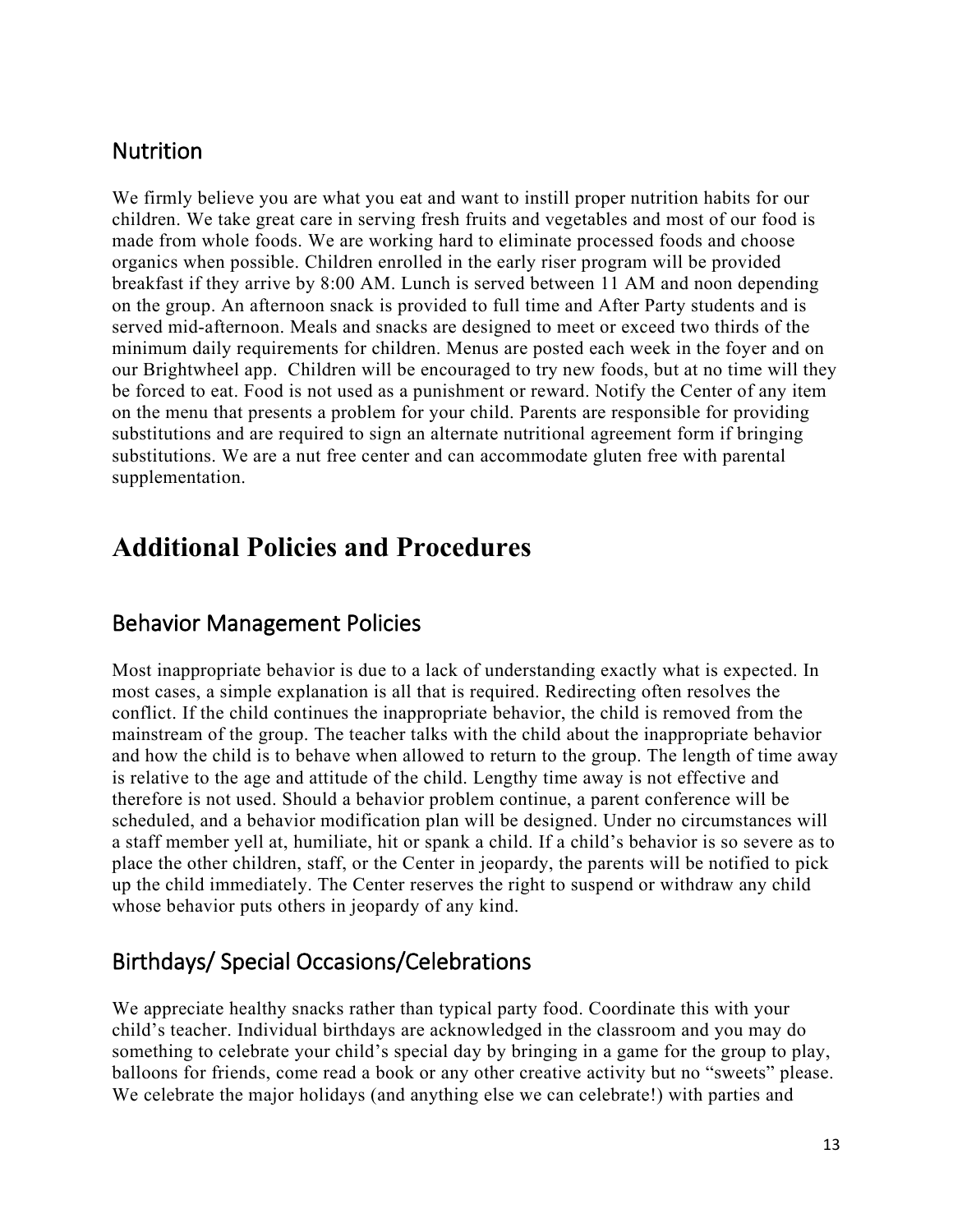#### **Nutrition**

We firmly believe you are what you eat and want to instill proper nutrition habits for our children. We take great care in serving fresh fruits and vegetables and most of our food is made from whole foods. We are working hard to eliminate processed foods and choose organics when possible. Children enrolled in the early riser program will be provided breakfast if they arrive by 8:00 AM. Lunch is served between 11 AM and noon depending on the group. An afternoon snack is provided to full time and After Party students and is served mid-afternoon. Meals and snacks are designed to meet or exceed two thirds of the minimum daily requirements for children. Menus are posted each week in the foyer and on our Brightwheel app. Children will be encouraged to try new foods, but at no time will they be forced to eat. Food is not used as a punishment or reward. Notify the Center of any item on the menu that presents a problem for your child. Parents are responsible for providing substitutions and are required to sign an alternate nutritional agreement form if bringing substitutions. We are a nut free center and can accommodate gluten free with parental supplementation.

## **Additional Policies and Procedures**

#### Behavior Management Policies

Most inappropriate behavior is due to a lack of understanding exactly what is expected. In most cases, a simple explanation is all that is required. Redirecting often resolves the conflict. If the child continues the inappropriate behavior, the child is removed from the mainstream of the group. The teacher talks with the child about the inappropriate behavior and how the child is to behave when allowed to return to the group. The length of time away is relative to the age and attitude of the child. Lengthy time away is not effective and therefore is not used. Should a behavior problem continue, a parent conference will be scheduled, and a behavior modification plan will be designed. Under no circumstances will a staff member yell at, humiliate, hit or spank a child. If a child's behavior is so severe as to place the other children, staff, or the Center in jeopardy, the parents will be notified to pick up the child immediately. The Center reserves the right to suspend or withdraw any child whose behavior puts others in jeopardy of any kind.

#### Birthdays/ Special Occasions/Celebrations

We appreciate healthy snacks rather than typical party food. Coordinate this with your child's teacher. Individual birthdays are acknowledged in the classroom and you may do something to celebrate your child's special day by bringing in a game for the group to play, balloons for friends, come read a book or any other creative activity but no "sweets" please. We celebrate the major holidays (and anything else we can celebrate!) with parties and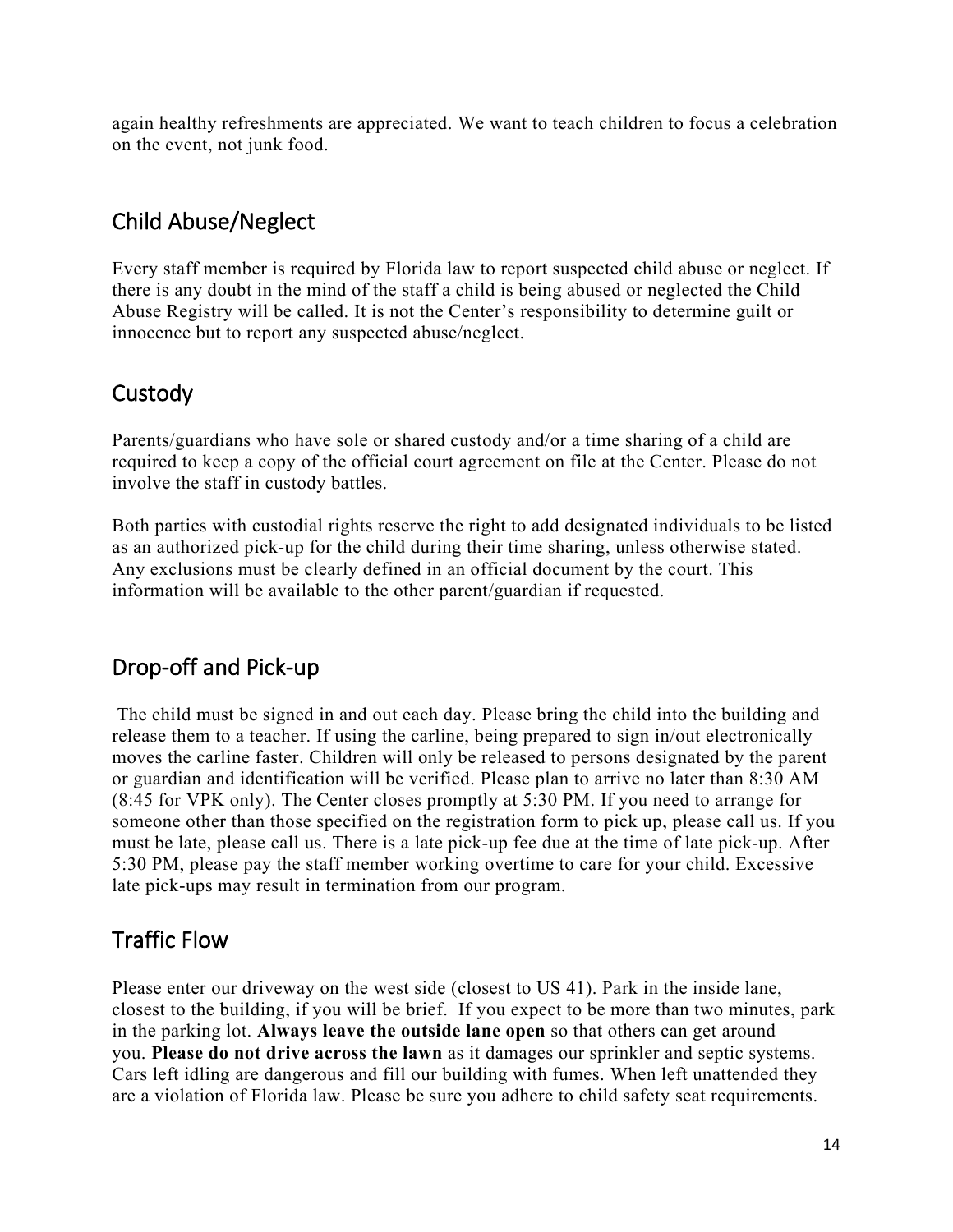again healthy refreshments are appreciated. We want to teach children to focus a celebration on the event, not junk food.

### Child Abuse/Neglect

Every staff member is required by Florida law to report suspected child abuse or neglect. If there is any doubt in the mind of the staff a child is being abused or neglected the Child Abuse Registry will be called. It is not the Center's responsibility to determine guilt or innocence but to report any suspected abuse/neglect.

### **Custody**

Parents/guardians who have sole or shared custody and/or a time sharing of a child are required to keep a copy of the official court agreement on file at the Center. Please do not involve the staff in custody battles.

Both parties with custodial rights reserve the right to add designated individuals to be listed as an authorized pick-up for the child during their time sharing, unless otherwise stated. Any exclusions must be clearly defined in an official document by the court. This information will be available to the other parent/guardian if requested.

### Drop-off and Pick-up

The child must be signed in and out each day. Please bring the child into the building and release them to a teacher. If using the carline, being prepared to sign in/out electronically moves the carline faster. Children will only be released to persons designated by the parent or guardian and identification will be verified. Please plan to arrive no later than 8:30 AM (8:45 for VPK only). The Center closes promptly at 5:30 PM. If you need to arrange for someone other than those specified on the registration form to pick up, please call us. If you must be late, please call us. There is a late pick-up fee due at the time of late pick-up. After 5:30 PM, please pay the staff member working overtime to care for your child. Excessive late pick-ups may result in termination from our program.

### Traffic Flow

Please enter our driveway on the west side (closest to US 41). Park in the inside lane, closest to the building, if you will be brief. If you expect to be more than two minutes, park in the parking lot. **Always leave the outside lane open** so that others can get around you. **Please do not drive across the lawn** as it damages our sprinkler and septic systems. Cars left idling are dangerous and fill our building with fumes. When left unattended they are a violation of Florida law. Please be sure you adhere to child safety seat requirements.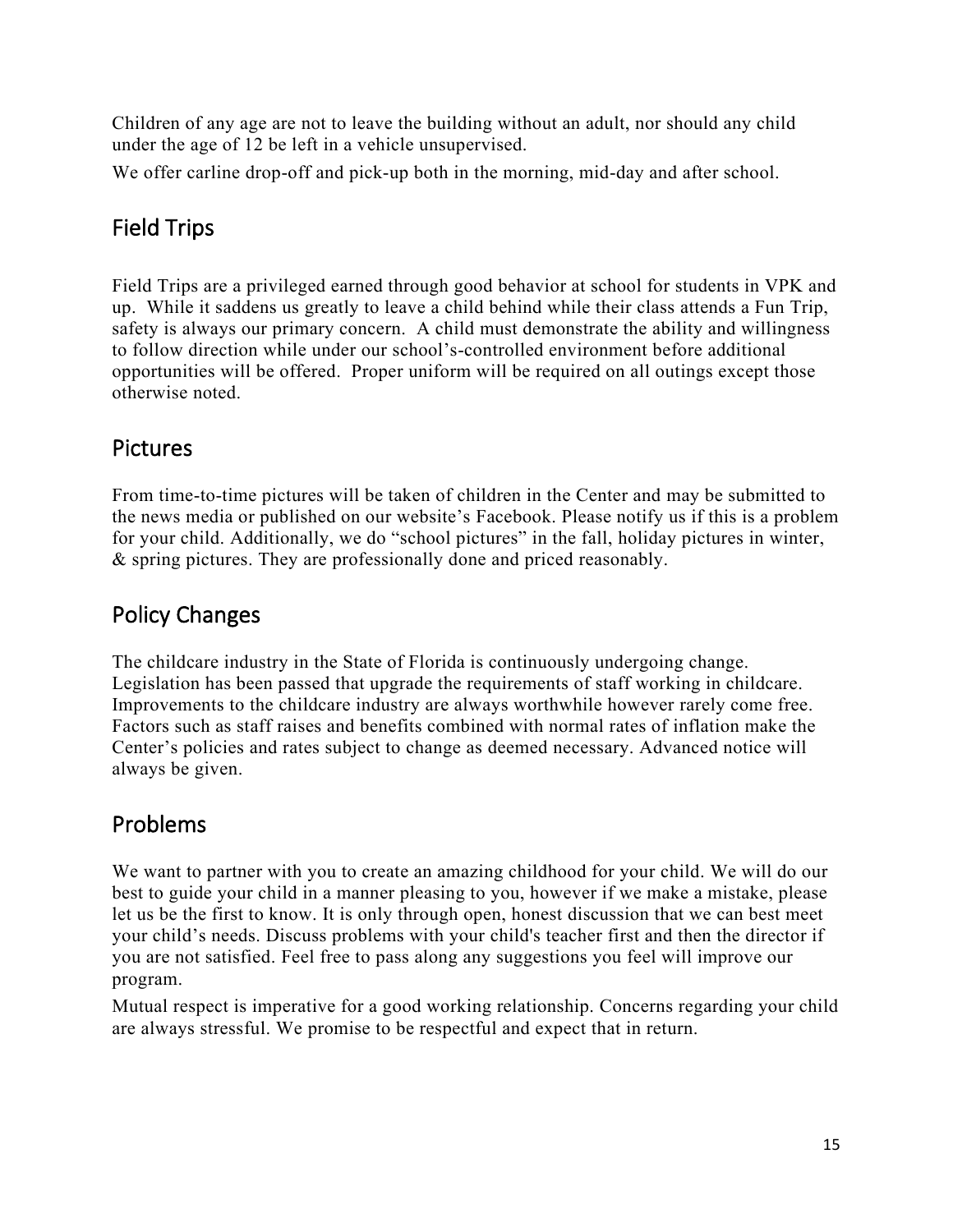Children of any age are not to leave the building without an adult, nor should any child under the age of 12 be left in a vehicle unsupervised.

We offer carline drop-off and pick-up both in the morning, mid-day and after school.

### Field Trips

Field Trips are a privileged earned through good behavior at school for students in VPK and up. While it saddens us greatly to leave a child behind while their class attends a Fun Trip, safety is always our primary concern. A child must demonstrate the ability and willingness to follow direction while under our school's-controlled environment before additional opportunities will be offered. Proper uniform will be required on all outings except those otherwise noted.

### Pictures

From time-to-time pictures will be taken of children in the Center and may be submitted to the news media or published on our website's Facebook. Please notify us if this is a problem for your child. Additionally, we do "school pictures" in the fall, holiday pictures in winter, & spring pictures. They are professionally done and priced reasonably.

### Policy Changes

The childcare industry in the State of Florida is continuously undergoing change. Legislation has been passed that upgrade the requirements of staff working in childcare. Improvements to the childcare industry are always worthwhile however rarely come free. Factors such as staff raises and benefits combined with normal rates of inflation make the Center's policies and rates subject to change as deemed necessary. Advanced notice will always be given.

### Problems

We want to partner with you to create an amazing childhood for your child. We will do our best to guide your child in a manner pleasing to you, however if we make a mistake, please let us be the first to know. It is only through open, honest discussion that we can best meet your child's needs. Discuss problems with your child's teacher first and then the director if you are not satisfied. Feel free to pass along any suggestions you feel will improve our program.

Mutual respect is imperative for a good working relationship. Concerns regarding your child are always stressful. We promise to be respectful and expect that in return.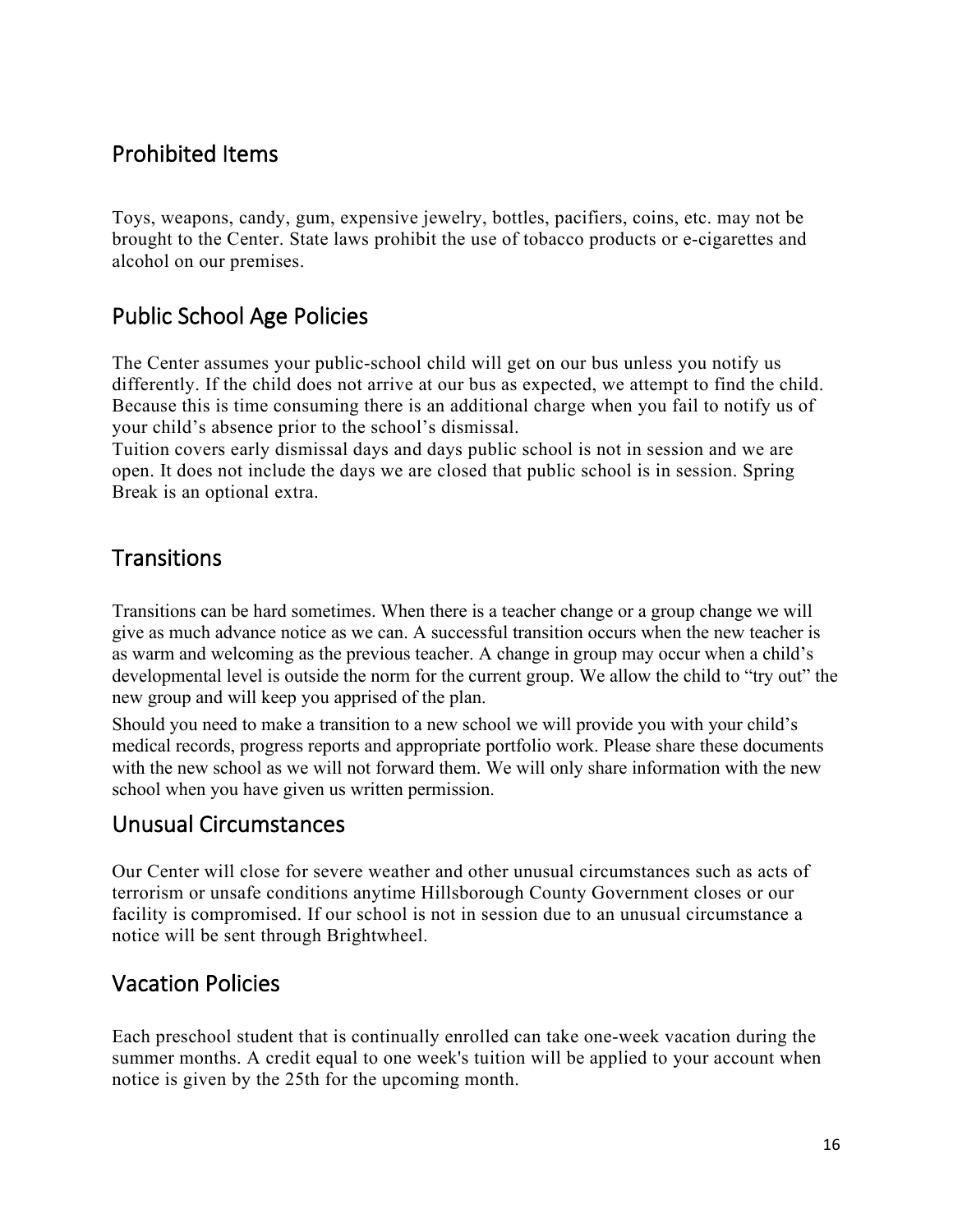### Prohibited Items

Toys, weapons, candy, gum, expensive jewelry, bottles, pacifiers, coins, etc. may not be brought to the Center. State laws prohibit the use of tobacco products or e-cigarettes and alcohol on our premises.

### Public School Age Policies

The Center assumes your public-school child will get on our bus unless you notify us differently. If the child does not arrive at our bus as expected, we attempt to find the child. Because this is time consuming there is an additional charge when you fail to notify us of your child's absence prior to the school's dismissal.

Tuition covers early dismissal days and days public school is not in session and we are open. It does not include the days we are closed that public school is in session. Spring Break is an optional extra.

### **Transitions**

Transitions can be hard sometimes. When there is a teacher change or a group change we will give as much advance notice as we can. A successful transition occurs when the new teacher is as warm and welcoming as the previous teacher. A change in group may occur when a child's developmental level is outside the norm for the current group. We allow the child to "try out" the new group and will keep you apprised of the plan.

Should you need to make a transition to a new school we will provide you with your child's medical records, progress reports and appropriate portfolio work. Please share these documents with the new school as we will not forward them. We will only share information with the new school when you have given us written permission.

#### Unusual Circumstances

Our Center will close for severe weather and other unusual circumstances such as acts of terrorism or unsafe conditions anytime Hillsborough County Government closes or our facility is compromised. If our school is not in session due to an unusual circumstance a notice will be sent through Brightwheel.

### Vacation Policies

Each preschool student that is continually enrolled can take one-week vacation during the summer months. A credit equal to one week's tuition will be applied to your account when notice is given by the 25th for the upcoming month.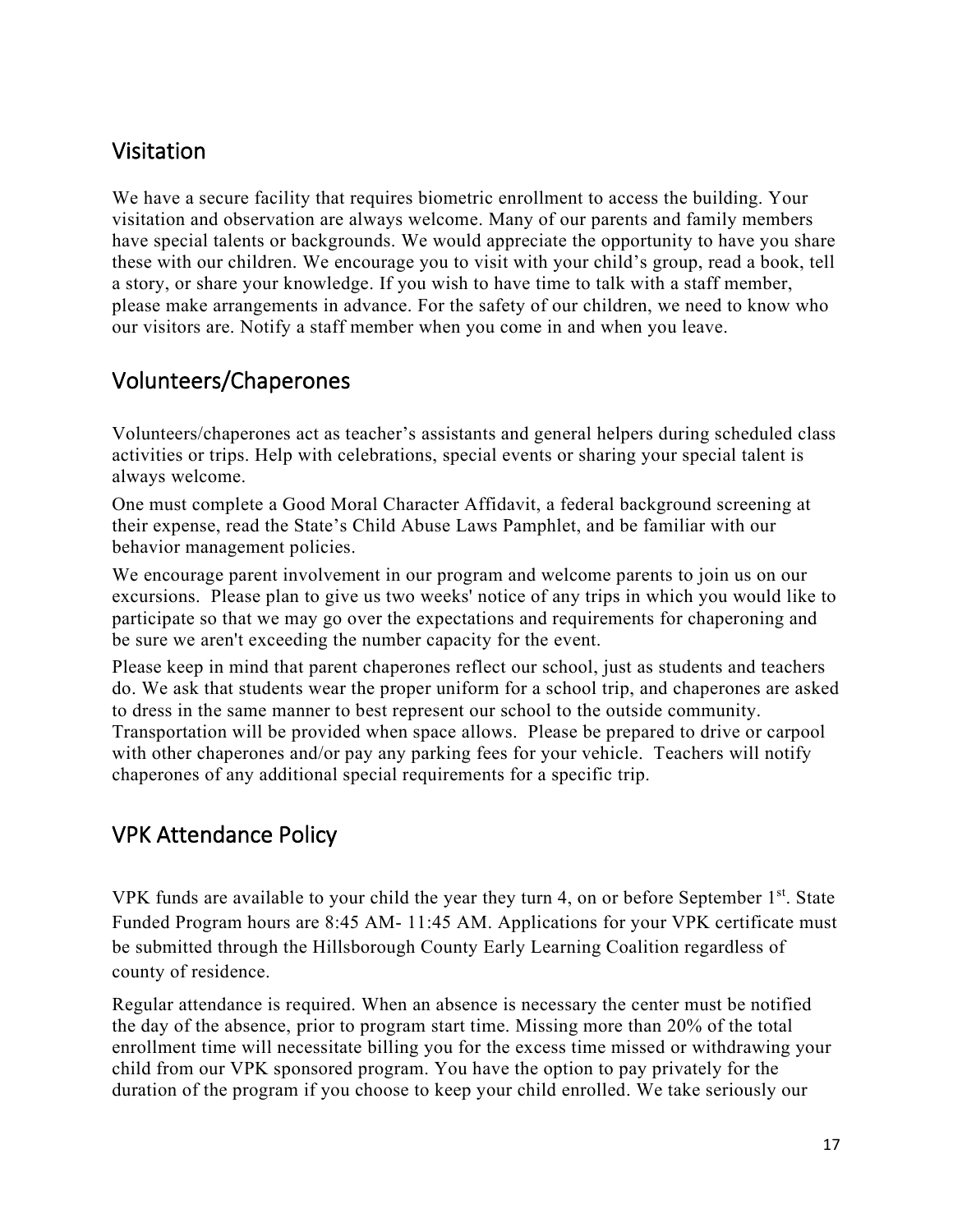### Visitation

We have a secure facility that requires biometric enrollment to access the building. Your visitation and observation are always welcome. Many of our parents and family members have special talents or backgrounds. We would appreciate the opportunity to have you share these with our children. We encourage you to visit with your child's group, read a book, tell a story, or share your knowledge. If you wish to have time to talk with a staff member, please make arrangements in advance. For the safety of our children, we need to know who our visitors are. Notify a staff member when you come in and when you leave.

### Volunteers/Chaperones

Volunteers/chaperones act as teacher's assistants and general helpers during scheduled class activities or trips. Help with celebrations, special events or sharing your special talent is always welcome.

One must complete a Good Moral Character Affidavit, a federal background screening at their expense, read the State's Child Abuse Laws Pamphlet, and be familiar with our behavior management policies.

We encourage parent involvement in our program and welcome parents to join us on our excursions. Please plan to give us two weeks' notice of any trips in which you would like to participate so that we may go over the expectations and requirements for chaperoning and be sure we aren't exceeding the number capacity for the event.

Please keep in mind that parent chaperones reflect our school, just as students and teachers do. We ask that students wear the proper uniform for a school trip, and chaperones are asked to dress in the same manner to best represent our school to the outside community. Transportation will be provided when space allows. Please be prepared to drive or carpool with other chaperones and/or pay any parking fees for your vehicle. Teachers will notify chaperones of any additional special requirements for a specific trip.

### VPK Attendance Policy

VPK funds are available to your child the year they turn 4, on or before September  $1<sup>st</sup>$ . State Funded Program hours are 8:45 AM- 11:45 AM. Applications for your VPK certificate must be submitted through the Hillsborough County Early Learning Coalition regardless of county of residence.

Regular attendance is required. When an absence is necessary the center must be notified the day of the absence, prior to program start time. Missing more than 20% of the total enrollment time will necessitate billing you for the excess time missed or withdrawing your child from our VPK sponsored program. You have the option to pay privately for the duration of the program if you choose to keep your child enrolled. We take seriously our